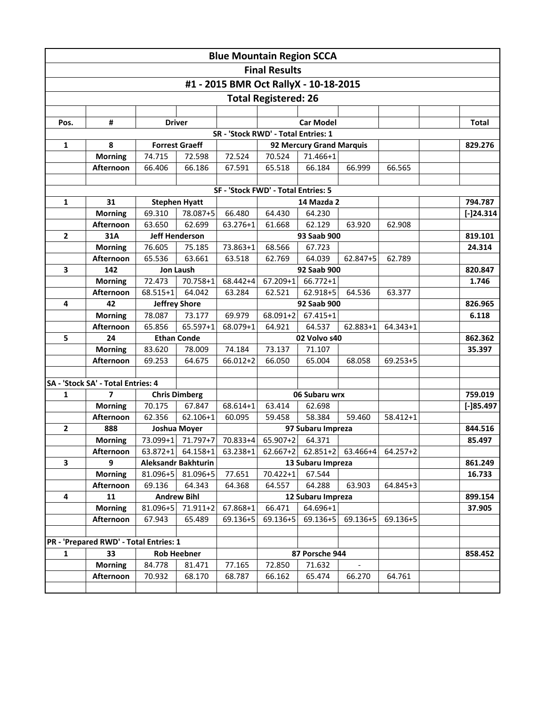|                                     |                                        |               |                                  |            | <b>Blue Mountain Region SCCA</b>    |                                       |          |              |              |
|-------------------------------------|----------------------------------------|---------------|----------------------------------|------------|-------------------------------------|---------------------------------------|----------|--------------|--------------|
|                                     |                                        |               |                                  |            | <b>Final Results</b>                |                                       |          |              |              |
|                                     |                                        |               |                                  |            |                                     |                                       |          |              |              |
|                                     |                                        |               |                                  |            |                                     | #1 - 2015 BMR Oct RallyX - 10-18-2015 |          |              |              |
|                                     |                                        |               |                                  |            | <b>Total Registered: 26</b>         |                                       |          |              |              |
|                                     |                                        |               |                                  |            |                                     |                                       |          |              |              |
| Pos.                                | #                                      | <b>Driver</b> |                                  |            |                                     | <b>Car Model</b>                      |          |              | <b>Total</b> |
| SR - 'Stock RWD' - Total Entries: 1 |                                        |               |                                  |            |                                     |                                       |          |              |              |
| $\mathbf{1}$                        | 8                                      |               | <b>Forrest Graeff</b>            |            |                                     | 92 Mercury Grand Marquis              |          | 829.276      |              |
|                                     | <b>Morning</b>                         | 74.715        | 72.598                           | 72.524     | 70.524                              | 71.466+1                              |          |              |              |
|                                     | Afternoon                              | 66.406        | 66.186                           | 67.591     | 65.518                              | 66.184                                | 66.999   | 66.565       |              |
|                                     |                                        |               |                                  |            |                                     |                                       |          |              |              |
|                                     |                                        |               |                                  |            | SF - 'Stock FWD' - Total Entries: 5 |                                       |          |              |              |
| $\mathbf{1}$                        | 31                                     | 69.310        | <b>Stephen Hyatt</b><br>78.087+5 | 66.480     | 64.430                              | 14 Mazda 2<br>64.230                  |          |              | 794.787      |
|                                     | <b>Morning</b><br>Afternoon            | 63.650        | 62.699                           | 63.276+1   | 61.668                              | 62.129                                | 63.920   | 62.908       | $[-]$ 24.314 |
| $\overline{2}$                      | 31A                                    |               | <b>Jeff Henderson</b>            |            |                                     | 93 Saab 900                           |          |              | 819.101      |
|                                     | <b>Morning</b>                         | 76.605        | 75.185                           | 73.863+1   | 68.566                              | 67.723                                |          |              | 24.314       |
|                                     | Afternoon                              | 65.536        | 63.661                           | 63.518     | 62.769                              | 64.039                                | 62.847+5 | 62.789       |              |
| 3                                   | 142                                    |               | <b>Jon Laush</b>                 |            |                                     | 92 Saab 900                           |          | 820.847      |              |
|                                     | <b>Morning</b>                         | 72.473        | 70.758+1                         | 68.442+4   | $67.209 + 1$                        | 66.772+1                              |          |              | 1.746        |
|                                     | Afternoon                              | 68.515+1      | 64.042                           | 63.284     | 62.521                              | 62.918+5                              | 64.536   | 63.377       |              |
| 4                                   | 42                                     |               | <b>Jeffrey Shore</b>             |            | 92 Saab 900                         |                                       |          |              | 826.965      |
|                                     | <b>Morning</b>                         | 78.087        | 73.177                           | 69.979     | $68.091 + 2$                        | $67.415 + 1$                          |          |              | 6.118        |
|                                     | Afternoon                              | 65.856        | 65.597+1                         | 68.079+1   | 64.921                              | 64.537                                | 62.883+1 | 64.343+1     |              |
| 5                                   | 24                                     |               | <b>Ethan Conde</b>               |            |                                     | 02 Volvo s40                          |          |              | 862.362      |
|                                     | <b>Morning</b>                         | 83.620        | 78.009                           | 74.184     | 73.137                              | 71.107                                |          |              | 35.397       |
|                                     | Afternoon                              | 69.253        | 64.675                           | 66.012+2   | 66.050                              | 65.004                                | 68.058   | 69.253+5     |              |
|                                     |                                        |               |                                  |            |                                     |                                       |          |              |              |
|                                     | SA - 'Stock SA' - Total Entries: 4     |               |                                  |            |                                     |                                       |          |              |              |
| 1                                   | 7                                      |               | <b>Chris Dimberg</b>             |            | 06 Subaru wrx                       |                                       |          |              | 759.019      |
|                                     | <b>Morning</b>                         | 70.175        | 67.847                           | 68.614+1   | 63.414                              | 62.698                                |          |              | $[-]85.497$  |
|                                     | Afternoon                              | 62.356        | 62.106+1                         | 60.095     | 59.458                              | 58.384                                | 59.460   | $58.412 + 1$ |              |
| $\mathbf{2}$                        | 888                                    |               | Joshua Moyer                     |            |                                     | 97 Subaru Impreza                     |          |              | 844.516      |
|                                     | <b>Morning</b>                         |               | 73.099+1 71.797+7                |            | 70.833+4 65.907+2 64.371            |                                       |          |              | 85.497       |
|                                     | <b>Afternoon</b>                       |               | $63.872+1$ 64.158+1              | $63.238+1$ | $62.667+2$                          | $62.851+2$                            | 63.466+4 | 64.257+2     |              |
| 3                                   | 9                                      |               | <b>Aleksandr Bakhturin</b>       |            |                                     | 13 Subaru Impreza                     |          |              | 861.249      |
|                                     | <b>Morning</b>                         |               | 81.096+5 81.096+5                | 77.651     | 70.422+1                            | 67.544                                |          |              | 16.733       |
|                                     | Afternoon                              | 69.136        | 64.343                           | 64.368     | 64.557                              | 64.288                                | 63.903   | 64.845+3     |              |
| 4                                   | 11                                     |               | <b>Andrew Bihl</b>               |            |                                     | 12 Subaru Impreza                     |          |              | 899.154      |
|                                     | <b>Morning</b>                         | 81.096+5      | 71.911+2                         | 67.868+1   | 66.471                              | 64.696+1                              |          |              | 37.905       |
|                                     | Afternoon                              | 67.943        | 65.489                           | 69.136+5   | $69.136 + 5$                        | $69.136 + 5$                          | 69.136+5 | 69.136+5     |              |
|                                     |                                        |               |                                  |            |                                     |                                       |          |              |              |
|                                     | PR - 'Prepared RWD' - Total Entries: 1 |               |                                  |            |                                     |                                       |          |              |              |
| $\mathbf{1}$                        | 33                                     |               | <b>Rob Heebner</b>               |            |                                     | 87 Porsche 944                        |          |              | 858.452      |
|                                     | <b>Morning</b>                         | 84.778        | 81.471                           | 77.165     | 72.850                              | 71.632                                |          |              |              |
|                                     | Afternoon                              | 70.932        | 68.170                           | 68.787     | 66.162                              | 65.474                                | 66.270   | 64.761       |              |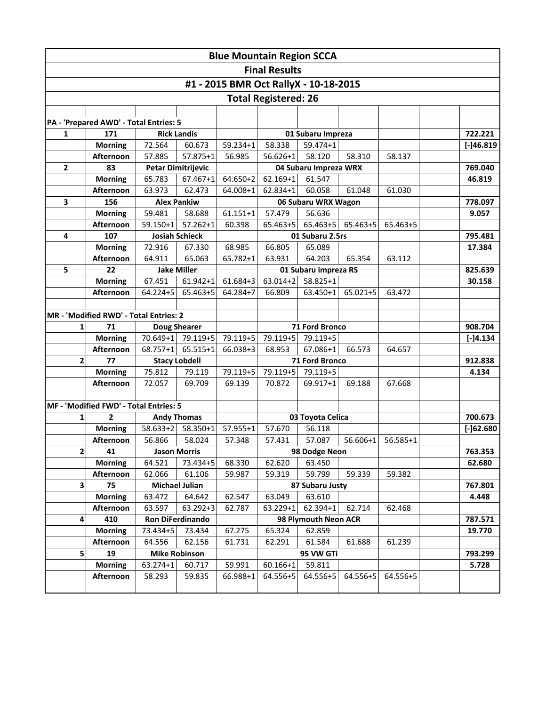| <b>Blue Mountain Region SCCA</b>      |                                        |                    |                                       |                  |                                |                           |                   |          |         |                   |  |  |
|---------------------------------------|----------------------------------------|--------------------|---------------------------------------|------------------|--------------------------------|---------------------------|-------------------|----------|---------|-------------------|--|--|
|                                       |                                        |                    |                                       |                  | <b>Final Results</b>           |                           |                   |          |         |                   |  |  |
| #1 - 2015 BMR Oct RallyX - 10-18-2015 |                                        |                    |                                       |                  |                                |                           |                   |          |         |                   |  |  |
| <b>Total Registered: 26</b>           |                                        |                    |                                       |                  |                                |                           |                   |          |         |                   |  |  |
|                                       |                                        |                    |                                       |                  |                                |                           |                   |          |         |                   |  |  |
|                                       | PA - 'Prepared AWD' - Total Entries: 5 |                    |                                       |                  |                                |                           |                   |          |         |                   |  |  |
| $\mathbf{1}$                          | 171                                    | <b>Rick Landis</b> |                                       |                  |                                | 01 Subaru Impreza         |                   |          |         | 722.221           |  |  |
|                                       | <b>Morning</b>                         | 72.564             | 60.673                                | 59.234+1         | 58.338                         | 59.474+1                  |                   |          |         | $[-]46.819$       |  |  |
|                                       | Afternoon                              | 57.885             | 57.875+1                              | 56.985           | $56.626 + 1$                   | 58.120                    | 58.310            | 58.137   |         |                   |  |  |
| $\overline{2}$                        | 83                                     |                    | <b>Petar Dimitrijevic</b>             |                  |                                | 04 Subaru Impreza WRX     |                   |          |         | 769.040           |  |  |
|                                       | <b>Morning</b>                         | 65.783             | 67.467+1                              | $64.650+2$       | $62.169 + 1$                   | 61.547                    |                   |          |         | 46.819            |  |  |
|                                       | Afternoon                              | 63.973             | 62.473                                | 64.008+1         | 62.834+1                       | 60.058                    | 61.048            | 61.030   |         |                   |  |  |
| 3                                     | 156                                    |                    | <b>Alex Pankiw</b>                    |                  |                                | 06 Subaru WRX Wagon       |                   |          |         | 778.097           |  |  |
|                                       | <b>Morning</b>                         | 59.481             | 58.688                                | $61.151 + 1$     | 57.479                         | 56.636                    |                   |          |         | 9.057             |  |  |
|                                       | Afternoon                              | $59.150+1$         | $57.262 + 1$<br><b>Josiah Schieck</b> | 60.398           | $65.463 + 5$                   |                           | 65.463+5 65.463+5 | 65.463+5 |         |                   |  |  |
| 4                                     | 107<br><b>Morning</b>                  | 72.916             | 67.330                                | 68.985           | 66.805                         | 01 Subaru 2.5rs<br>65.089 |                   |          |         | 795.481<br>17.384 |  |  |
|                                       | Afternoon                              | 64.911             | 65.063                                | 65.782+1         | 63.931                         | 64.203                    | 65.354            | 63.112   |         |                   |  |  |
| 5                                     | 22                                     |                    | <b>Jake Miller</b>                    |                  |                                | 01 Subaru impreza RS      |                   |          |         | 825.639           |  |  |
|                                       | <b>Morning</b>                         | 67.451             | 61.942+1                              | 61.684+3         | $63.014 + 2$                   | $58.825 + 1$              |                   |          |         | 30.158            |  |  |
|                                       | Afternoon                              | 64.224+5           | 65.463+5                              | 64.284+7         | 66.809                         | 63.450+1                  | 65.021+5          | 63.472   |         |                   |  |  |
|                                       |                                        |                    |                                       |                  |                                |                           |                   |          |         |                   |  |  |
|                                       | MR - 'Modified RWD' - Total Entries: 2 |                    |                                       |                  |                                |                           |                   |          |         |                   |  |  |
| 1                                     | 71                                     |                    | <b>Doug Shearer</b>                   |                  | <b>71 Ford Bronco</b>          |                           |                   |          |         | 908.704           |  |  |
|                                       | <b>Morning</b>                         | 70.649+1           | 79.119+5                              | 79.119+5         | 79.119+5                       | 79.119+5                  |                   |          |         | $[-]4.134$        |  |  |
|                                       | Afternoon                              | 68.757+1           | 65.515+1                              | 66.038+3         | 68.953                         | 67.086+1                  | 66.573            | 64.657   |         |                   |  |  |
| $\overline{2}$                        | 77                                     |                    | <b>Stacy Lobdell</b>                  |                  | 71 Ford Bronco                 |                           |                   |          |         | 912.838           |  |  |
|                                       | <b>Morning</b>                         | 75.812             | 79.119                                | 79.119+5         | 79.119+5                       | 79.119+5                  |                   |          |         | 4.134             |  |  |
|                                       | Afternoon                              | 72.057             | 69.709                                | 69.139           | 70.872                         | 69.917+1                  | 69.188            | 67.668   |         |                   |  |  |
|                                       |                                        |                    |                                       |                  |                                |                           |                   |          |         |                   |  |  |
|                                       | MF - 'Modified FWD' - Total Entries: 5 |                    |                                       |                  |                                |                           |                   |          |         |                   |  |  |
| 1                                     | $\overline{2}$                         |                    | <b>Andy Thomas</b>                    |                  |                                | 03 Toyota Celica          |                   |          |         | 700.673           |  |  |
|                                       | <b>Morning</b>                         | 58.633+2           | 58.350+1                              | 57.955+1         | 57.670                         | 56.118                    |                   |          |         | $[-]62.680$       |  |  |
|                                       | Afternoon                              | 56.866             | 58.024                                | 57.348           | 57.431                         | 57.087                    | 56.606+1          | 56.585+1 |         |                   |  |  |
| $\mathbf{2}$                          | 41                                     |                    | <b>Jason Morris</b>                   |                  | 98 Dodge Neon                  |                           |                   |          |         | 763.353           |  |  |
|                                       | <b>Morning</b>                         | 64.521             | 73.434+5                              | 68.330           | 62.620                         | 63.450                    |                   |          |         | 62.680            |  |  |
|                                       | Afternoon                              | 62.066             | 61.106                                | 59.987           | 59.319                         | 59.799                    | 59.339            | 59.382   |         |                   |  |  |
| 3                                     | 75                                     |                    | <b>Michael Julian</b>                 |                  | 87 Subaru Justy                |                           |                   |          | 767.801 |                   |  |  |
|                                       | <b>Morning</b>                         | 63.472             | 64.642                                | 62.547           | 63.049                         | 63.610                    |                   |          |         | 4.448             |  |  |
|                                       | Afternoon                              | 63.597             | 63.292+3                              | 62.787           | 63.229+1                       | 62.394+1                  | 62.714            | 62.468   |         |                   |  |  |
| 4                                     | 410<br><b>Morning</b>                  | Ron DiFerdinando   |                                       |                  | 98 Plymouth Neon ACR<br>62.859 |                           |                   |          |         | 787.571<br>19.770 |  |  |
|                                       | Afternoon                              | 73.434+5<br>64.556 | 73.434<br>62.156                      | 67.275<br>61.731 | 65.324<br>62.291               | 61.584                    | 61.688            | 61.239   |         |                   |  |  |
| 5                                     | 19                                     |                    | <b>Mike Robinson</b><br>95 VW GTi     |                  |                                |                           |                   |          |         | 793.299           |  |  |
|                                       | <b>Morning</b>                         | 63.274+1           | 60.717                                | 59.991           | 60.166+1                       | 59.811                    |                   |          |         | 5.728             |  |  |
|                                       | Afternoon                              | 58.293             | 59.835                                | 66.988+1         | 64.556+5                       | 64.556+5                  | 64.556+5          | 64.556+5 |         |                   |  |  |
|                                       |                                        |                    |                                       |                  |                                |                           |                   |          |         |                   |  |  |
|                                       |                                        |                    |                                       |                  |                                |                           |                   |          |         |                   |  |  |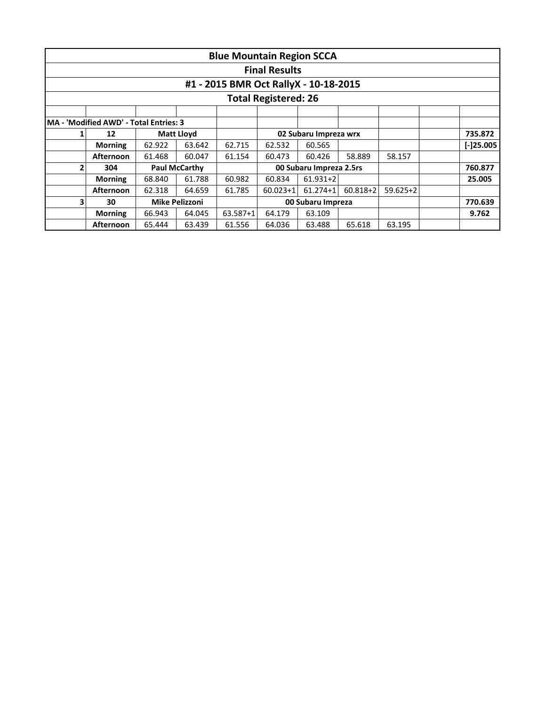|   |                                        |        |                      | <b>Blue Mountain Region SCCA</b>      |                             |                       |              |              |             |
|---|----------------------------------------|--------|----------------------|---------------------------------------|-----------------------------|-----------------------|--------------|--------------|-------------|
|   |                                        |        |                      |                                       | <b>Final Results</b>        |                       |              |              |             |
|   |                                        |        |                      | #1 - 2015 BMR Oct RallyX - 10-18-2015 |                             |                       |              |              |             |
|   |                                        |        |                      |                                       | <b>Total Registered: 26</b> |                       |              |              |             |
|   |                                        |        |                      |                                       |                             |                       |              |              |             |
|   | MA - 'Modified AWD' - Total Entries: 3 |        |                      |                                       |                             |                       |              |              |             |
| 1 | 12                                     |        | <b>Matt Lloyd</b>    |                                       |                             | 02 Subaru Impreza wrx |              |              | 735.872     |
|   | <b>Morning</b>                         | 62.922 | 63.642               | 62.715                                | 62.532                      | 60.565                |              |              | $[-]25.005$ |
|   | <b>Afternoon</b>                       | 61.468 | 60.047               | 61.154                                | 60.473                      | 60.426                | 58.889       | 58.157       |             |
| 2 | 304                                    |        | <b>Paul McCarthy</b> |                                       | 00 Subaru Impreza 2.5rs     |                       |              |              | 760.877     |
|   | <b>Morning</b>                         | 68.840 | 61.788               | 60.982                                | 60.834                      | $61.931 + 2$          |              |              | 25.005      |
|   | <b>Afternoon</b>                       | 62.318 | 64.659               | 61.785                                | $60.023 + 1$                | $61.274 + 1$          | $60.818 + 2$ | $59.625 + 2$ |             |
| 3 | 30                                     |        | Mike Pelizzoni       |                                       | 00 Subaru Impreza           |                       |              |              | 770.639     |
|   | <b>Morning</b>                         | 66.943 | 64.045               | $63.587 + 1$                          | 64.179                      | 63.109                |              |              | 9.762       |
|   | <b>Afternoon</b>                       | 65.444 | 63.439               | 61.556                                | 64.036                      | 63.488                | 65.618       | 63.195       |             |